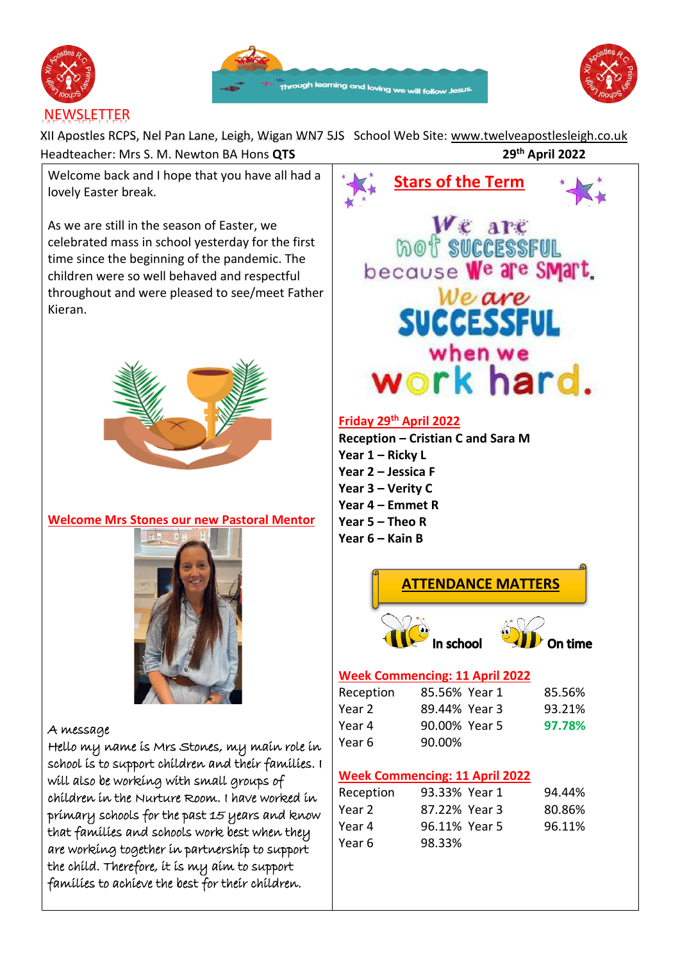





XII Apostles RCPS, Nel Pan Lane, Leigh, Wigan WN7 5JS School Web Site: [www.twelveapostlesleigh.co.uk](http://www.twelveapostlesleigh.co.uk/)  Headteacher: Mrs S. M. Newton BA Hons **QTS th April 2022**

Welcome back and I hope that you have all had a lovely Easter break.

As we are still in the season of Easter, we celebrated mass in school yesterday for the first time since the beginning of the pandemic. The children were so well behaved and respectful throughout and were pleased to see/meet Father Kieran.



#### **Welcome Mrs Stones our new Pastoral Mentor**



#### A message

Hello my name is Mrs Stones, my main role in school is to support children and their families. I will also be working with small groups of children in the Nurture Room. I have worked in primary schools for the past 15 years and know that families and schools work best when they are working together in partnership to support the child. Therefore, it is my aim to support families to achieve the best for their children.

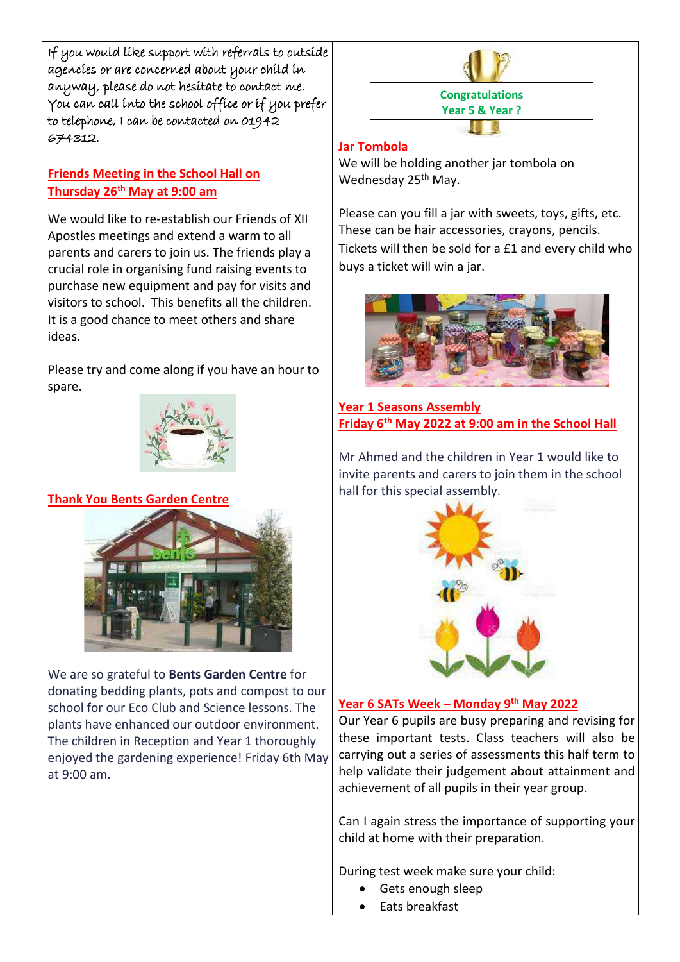If you would like support with referrals to outside agencies or are concerned about your child in anyway, please do not hesitate to contact me. You can call into the school office or if you prefer to telephone, I can be contacted on 01942 674312.

## **Friends Meeting in the School Hall on Thursday 26th May at 9:00 am**

We would like to re-establish our Friends of XII Apostles meetings and extend a warm to all parents and carers to join us. The friends play a crucial role in organising fund raising events to purchase new equipment and pay for visits and visitors to school. This benefits all the children. It is a good chance to meet others and share ideas.

Please try and come along if you have an hour to spare.



### **Thank You Bents Garden Centre**



We are so grateful to **Bents Garden Centre** for donating bedding plants, pots and compost to our school for our Eco Club and Science lessons. The plants have enhanced our outdoor environment. The children in Reception and Year 1 thoroughly enjoyed the gardening experience! Friday 6th May at 9:00 am.



#### **Jar Tombola**

We will be holding another jar tombola on Wednesday 25<sup>th</sup> May.

Please can you fill a jar with sweets, toys, gifts, etc. These can be hair accessories, crayons, pencils. Tickets will then be sold for a £1 and every child who buys a ticket will win a jar.



**Year 1 Seasons Assembly Friday 6th May 2022 at 9:00 am in the School Hall** 

Mr Ahmed and the children in Year 1 would like to invite parents and carers to join them in the school hall for this special assembly.



#### **Year 6 SATs Week – Monday 9 th May 2022**

Our Year 6 pupils are busy preparing and revising for these important tests. Class teachers will also be carrying out a series of assessments this half term to help validate their judgement about attainment and achievement of all pupils in their year group.

Can I again stress the importance of supporting your child at home with their preparation.

During test week make sure your child:

- Gets enough sleep
- Eats breakfast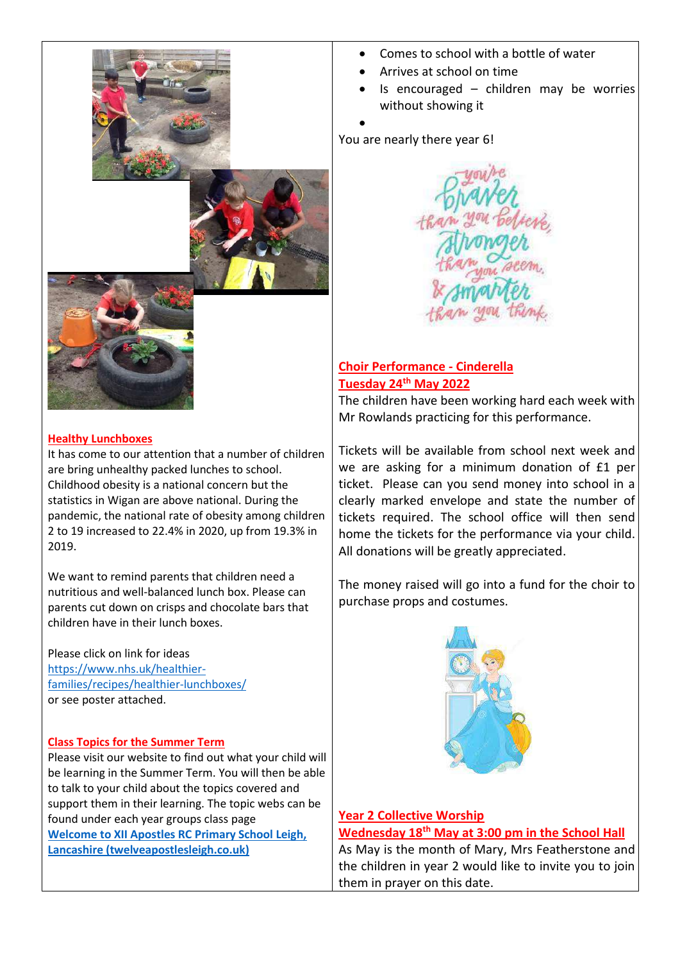





#### • Comes to school with a bottle of water

- Arrives at school on time
- Is encouraged  $-$  children may be worries without showing it

You are nearly there year 6!

•



#### **Choir Performance - Cinderella Tuesday 24th May 2022**

The children have been working hard each week with Mr Rowlands practicing for this performance.

Tickets will be available from school next week and we are asking for a minimum donation of £1 per ticket. Please can you send money into school in a clearly marked envelope and state the number of tickets required. The school office will then send home the tickets for the performance via your child. All donations will be greatly appreciated.

The money raised will go into a fund for the choir to purchase props and costumes.



**Year 2 Collective Worship Wednesday 18th May at 3:00 pm in the School Hall** 

As May is the month of Mary, Mrs Featherstone and the children in year 2 would like to invite you to join them in prayer on this date.

#### **Healthy Lunchboxes**

It has come to our attention that a number of children are bring unhealthy packed lunches to school. Childhood obesity is a national concern but the statistics in Wigan are above national. During the pandemic, the national rate of obesity among children 2 to 19 increased to 22.4% in 2020, up from 19.3% in 2019.

We want to remind parents that children need a nutritious and well-balanced lunch box. Please can parents cut down on crisps and chocolate bars that children have in their lunch boxes.

Please click on link for ideas [https://www.nhs.uk/healthier](https://www.nhs.uk/healthier-families/recipes/healthier-lunchboxes/)[families/recipes/healthier-lunchboxes/](https://www.nhs.uk/healthier-families/recipes/healthier-lunchboxes/) or see poster attached.

#### **Class Topics for the Summer Term**

Please visit our website to find out what your child will be learning in the Summer Term. You will then be able to talk to your child about the topics covered and support them in their learning. The topic webs can be found under each year groups class page **[Welcome to XII Apostles RC Primary School Leigh,](https://www.twelveapostlesleigh.co.uk/)  [Lancashire \(twelveapostlesleigh.co.uk\)](https://www.twelveapostlesleigh.co.uk/)**